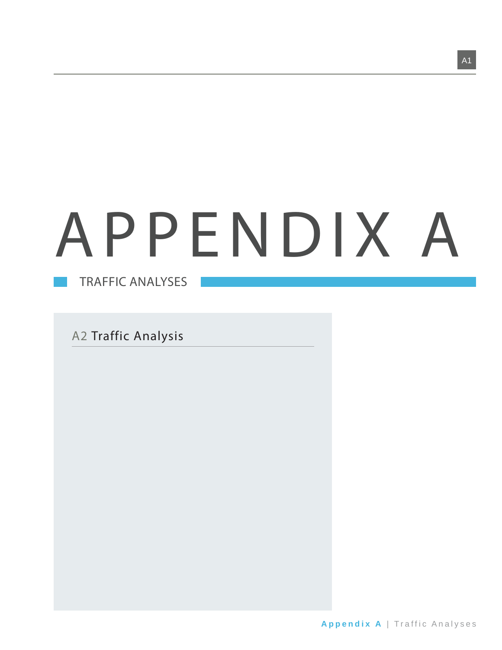# APPENDIX A

TRAFFIC ANALYSES

A2 Traffic Analysis

A1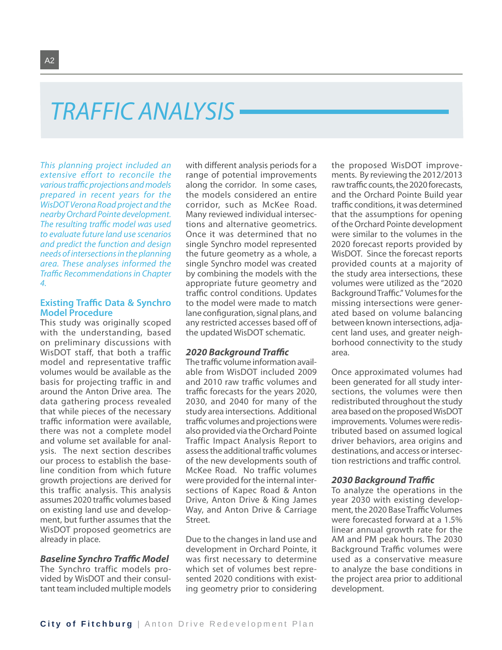## TRAFFIC ANALYSIS

This planning project included an extensive effort to reconcile the various traffic projections and models prepared in recent years for the WisDOT Verona Road project and the nearby Orchard Pointe development. The resulting traffic model was used to evaluate future land use scenarios and predict the function and design needs of intersections in the planning area. These analyses informed the Traffic Recommendations in Chapter 4.

#### **Existing Traffic Data & Synchro Model Procedure**

This study was originally scoped with the understanding, based on preliminary discussions with WisDOT staff, that both a traffic model and representative traffic volumes would be available as the basis for projecting traffic in and around the Anton Drive area. The data gathering process revealed that while pieces of the necessary traffic information were available. there was not a complete model and volume set available for analysis. The next section describes our process to establish the baseline condition from which future growth projections are derived for this traffic analysis. This analysis assumes 2020 traffic volumes based on existing land use and development, but further assumes that the WisDOT proposed geometrics are already in place.

#### **Baseline Synchro Traffic Model**

The Synchro traffic models provided by WisDOT and their consultant team included multiple models with different analysis periods for a range of potential improvements along the corridor. In some cases, the models considered an entire corridor, such as McKee Road. Many reviewed individual intersections and alternative geometrics. Once it was determined that no single Synchro model represented the future geometry as a whole, a single Synchro model was created by combining the models with the appropriate future geometry and traffic control conditions. Updates to the model were made to match lane configuration, signal plans, and any restricted accesses based off of the updated WisDOT schematic.

#### *2020 Background Traffi c*

The traffic volume information available from WisDOT included 2009 and 2010 raw traffic volumes and traffic forecasts for the years 2020, 2030, and 2040 for many of the study area intersections. Additional traffic volumes and projections were also provided via the Orchard Pointe Traffic Impact Analysis Report to assess the additional traffic volumes of the new developments south of McKee Road. No traffic volumes were provided for the internal intersections of Kapec Road & Anton Drive, Anton Drive & King James Way, and Anton Drive & Carriage Street.

Due to the changes in land use and development in Orchard Pointe, it was first necessary to determine which set of volumes best represented 2020 conditions with existing geometry prior to considering the proposed WisDOT improvements. By reviewing the 2012/2013 raw traffic counts, the 2020 forecasts, and the Orchard Pointe Build year traffic conditions, it was determined that the assumptions for opening of the Orchard Pointe development were similar to the volumes in the 2020 forecast reports provided by WisDOT. Since the forecast reports provided counts at a majority of the study area intersections, these volumes were utilized as the "2020 Background Traffic." Volumes for the missing intersections were generated based on volume balancing between known intersections, adjacent land uses, and greater neighborhood connectivity to the study area.

Once approximated volumes had been generated for all study intersections, the volumes were then redistributed throughout the study area based on the proposed WisDOT improvements. Volumes were redistributed based on assumed logical driver behaviors, area origins and destinations, and access or intersection restrictions and traffic control.

#### *2030 Background Traffi c*

To analyze the operations in the year 2030 with existing development, the 2020 Base Traffic Volumes were forecasted forward at a 1.5% linear annual growth rate for the AM and PM peak hours. The 2030 Background Traffic volumes were used as a conservative measure to analyze the base conditions in the project area prior to additional development.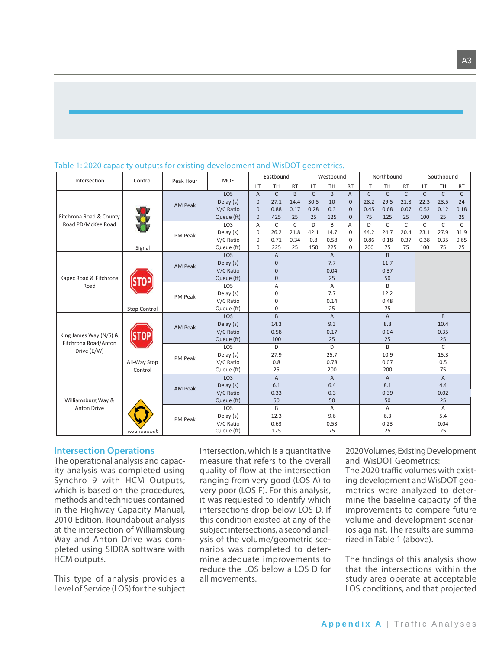| Intersection                                   | Control           | Peak Hour      | <b>MOE</b>                              |                | Eastbound      |              | Westbound    |                |                |              | Northbound     |              | Southbound   |                |              |
|------------------------------------------------|-------------------|----------------|-----------------------------------------|----------------|----------------|--------------|--------------|----------------|----------------|--------------|----------------|--------------|--------------|----------------|--------------|
|                                                |                   |                |                                         | LT             | TH             | <b>RT</b>    | LT           | TH             | <b>RT</b>      | LT           | TH             | <b>RT</b>    | LT           | TH             | <b>RT</b>    |
| Fitchrona Road & County<br>Road PD/McKee Road  |                   |                | <b>LOS</b>                              | $\overline{A}$ | $\mathsf{C}$   | B.           | $\mathsf{C}$ | $\overline{B}$ | $\overline{A}$ | $\mathsf{C}$ | $\mathsf{C}$   | $\mathsf{C}$ | $\mathsf{C}$ | $\mathsf{C}$   | $\mathsf{C}$ |
|                                                |                   | <b>AM Peak</b> | Delay (s)                               | $\mathbf{0}$   | 27.1           | 14.4         | 30.5         | 10             | $\mathbf{0}$   | 28.2         | 29.5           | 21.8         | 22.3         | 23.5           | 24           |
|                                                |                   |                | V/C Ratio                               | $\mathbf{0}$   | 0.88           | 0.17         | 0.28         | 0.3            | $\Omega$       | 0.45         | 0.68           | 0.07         | 0.52         | 0.12           | 0.18         |
|                                                |                   |                | Queue (ft)                              | $\mathbf{0}$   | 425            | 25           | 25           | 125            | $\overline{0}$ | 75           | 125            | 25           | 100          | 25             | 25           |
|                                                |                   |                | LOS                                     | Α              | $\mathsf{C}$   | $\mathsf{C}$ | D            | B              | A              | D            | $\mathsf{C}$   | $\mathsf{C}$ | $\mathsf{C}$ | $\mathsf{C}$   | $\mathsf{C}$ |
|                                                |                   | PM Peak        | Delay (s)                               | 0              | 26.2           | 21.8         | 42.1         | 14.7           | $\Omega$       | 44.2         | 24.7           | 20.4         | 23.1         | 27.9           | 31.9         |
|                                                |                   |                | V/C Ratio                               | 0              | 0.71           | 0.34         | 0.8          | 0.58           | $\Omega$       | 0.86         | 0.18           | 0.37         | 0.38         | 0.35           | 0.65         |
|                                                | Signal            |                | Queue (ft)                              | $\mathbf 0$    | 225            | 25           | 150          | 225            | $\Omega$       | 200          | 75             | 75           | 100          | 75             | 25           |
|                                                |                   |                | LOS                                     |                | $\overline{A}$ |              |              | $\overline{A}$ |                |              | B              |              |              |                |              |
|                                                |                   | <b>AM Peak</b> | Delay (s)                               |                | $\mathbf{0}$   |              |              | 7.7            |                |              | 11.7           |              |              |                |              |
| Kapec Road & Fitchrona<br>Road                 |                   |                | V/C Ratio                               |                | $\Omega$       |              |              | 0.04           |                |              | 0.37           |              |              |                |              |
|                                                |                   |                | Queue (ft)                              |                | $\mathbf{0}$   |              |              | 25             |                |              | 50             |              |              |                |              |
|                                                |                   |                | LOS                                     |                | A              |              |              | $\overline{A}$ |                |              | B              |              |              |                |              |
|                                                |                   | PM Peak        | 7.7<br>$\mathbf 0$<br>12.2<br>Delay (s) |                |                |              |              |                |                |              |                |              |              |                |              |
|                                                |                   |                | V/C Ratio                               |                | $\mathbf 0$    |              |              | 0.14           |                |              | 0.48           |              |              |                |              |
|                                                | Stop Control      |                | Queue (ft)                              |                | $\mathbf 0$    |              |              | 25             |                |              | 75             |              |              |                |              |
|                                                |                   |                | LOS                                     |                | B              |              |              | $\overline{A}$ |                |              | $\overline{A}$ |              |              | B              |              |
|                                                |                   | AM Peak        | Delay (s)                               |                | 14.3           |              |              | 9.3            |                |              | 8.8            |              |              | 10.4           |              |
|                                                |                   |                | V/C Ratio                               |                | 0.58           |              |              | 0.17           |                |              | 0.04           |              |              | 0.35           |              |
| King James Way (N/S) &<br>Fitchrona Road/Anton |                   |                | Queue (ft)                              |                | 100            |              |              | 25             |                |              | 25             |              |              | 25             |              |
| Drive (E/W)                                    |                   |                | LOS                                     |                | D              |              |              | D              |                |              | B              |              |              | $\mathsf{C}$   |              |
|                                                |                   | PM Peak        | Delay (s)                               |                | 27.9           |              |              | 25.7           |                |              | 10.9           |              |              | 15.3           |              |
|                                                | All-Way Stop      |                | V/C Ratio                               |                | 0.8            |              |              | 0.78           |                |              | 0.07           |              |              | 0.5            |              |
|                                                | Control           |                | Queue (ft)                              |                | 25             |              |              | 200            |                |              | 200            |              |              | 75             |              |
|                                                |                   |                | LOS                                     |                | $\overline{A}$ |              |              | $\overline{A}$ |                |              | $\mathsf{A}$   |              |              | $\overline{A}$ |              |
|                                                |                   | <b>AM Peak</b> | Delay (s)                               |                | 6.1            |              |              | 6.4            |                |              | 8.1            |              |              | 4.4            |              |
|                                                |                   |                | V/C Ratio                               |                | 0.33           |              |              | 0.3            |                |              | 0.39           |              |              | 0.02           |              |
| Williamsburg Way &                             |                   |                | Queue (ft)                              |                | 50             |              |              | 50             |                |              | 50             |              |              | 25             |              |
| Anton Drive                                    |                   |                | LOS                                     |                | B              |              |              | A              |                |              | Α              |              |              | Α              |              |
|                                                |                   | PM Peak        | Delay (s)                               |                | 12.3           |              |              | 9.6            |                |              | 6.3            |              |              | 5.4            |              |
|                                                |                   |                | V/C Ratio                               |                | 0.63           |              |              | 0.53           |                |              | 0.23           |              |              | 0.04           |              |
|                                                | <b>ROUNDADOUT</b> |                | Queue (ft)                              |                | 125            |              |              | 75             |                |              | 25             |              |              | 25             |              |

### Table 1: 2020 capacity outputs for existing development and WisDOT geometrics.

#### **Intersection Operations**

The operational analysis and capacity analysis was completed using Synchro 9 with HCM Outputs, which is based on the procedures, methods and techniques contained in the Highway Capacity Manual, 2010 Edition. Roundabout analysis at the intersection of Williamsburg Way and Anton Drive was completed using SIDRA software with HCM outputs.

This type of analysis provides a Level of Service (LOS) for the subject intersection, which is a quantitative measure that refers to the overall quality of flow at the intersection ranging from very good (LOS A) to very poor (LOS F). For this analysis, it was requested to identify which intersections drop below LOS D. If this condition existed at any of the subject intersections, a second analysis of the volume/geometric scenarios was completed to determine adequate improvements to reduce the LOS below a LOS D for all movements.

#### 2020 Volumes, Existing Development and WisDOT Geometrics:

The 2020 traffic volumes with existing development and WisDOT geometrics were analyzed to determine the baseline capacity of the improvements to compare future volume and development scenarios against. The results are summarized in Table 1 (above).

The findings of this analysis show that the intersections within the study area operate at acceptable LOS conditions, and that projected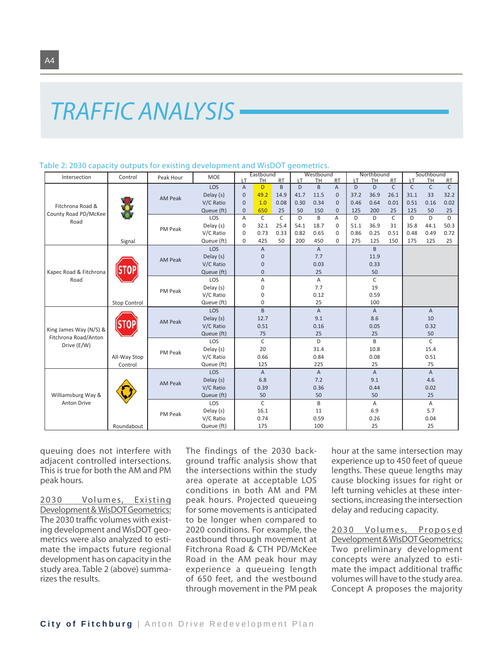#### Table 2: 2030 capacity outputs for existing development and WisDOT geometrics.

| Intersection           | Control      | Peak Hour      | <b>MOE</b>                                |                | Eastbound      |              |      | Westbound      |                |      | Northbound     |              |      | Southbound     |              |
|------------------------|--------------|----------------|-------------------------------------------|----------------|----------------|--------------|------|----------------|----------------|------|----------------|--------------|------|----------------|--------------|
|                        |              |                |                                           | LT             | <b>TH</b>      | <b>RT</b>    | LT   | <b>TH</b>      | <b>RT</b>      | LT   | <b>TH</b>      | <b>RT</b>    | LT   | <b>TH</b>      | <b>RT</b>    |
|                        |              |                | LOS                                       | $\overline{A}$ | D              | B            | D    | B              | $\overline{A}$ | D    | D              | $\mathsf{C}$ | C    | $\mathsf C$    | $\mathsf{C}$ |
|                        |              | <b>AM Peak</b> | Delay (s)                                 | $\mathbf 0$    | 49.2           | 14.9         | 41.7 | 11.5           | $\Omega$       | 37.2 | 36.9           | 26.1         | 31.1 | 33             | 32.2         |
| Fitchrona Road &       |              |                | V/C Ratio                                 | $\mathbf{0}$   | 1.0            | 0.08         | 0.30 | 0.34           | $\Omega$       | 0.46 | 0.64           | 0.01         | 0.51 | 0.16           | 0.02         |
| County Road PD/McKee   |              |                | Queue (ft)                                | $\mathbf 0$    | 650            | 25           | 50   | 150            | $\Omega$       | 125  | 200            | 25           | 125  | 50             | 25           |
| Road                   |              |                | LOS                                       | A              | $\mathsf{C}$   | $\mathsf{C}$ | D    | B              | A              | D    | D              | $\mathsf{C}$ | D    | D              | D            |
|                        |              | PM Peak        | Delay (s)                                 | $\mathbf 0$    | 32.1           | 25.4         | 54.1 | 18.7           | $\Omega$       | 51.1 | 36.9           | 31           | 35.8 | 44.1           | 50.3         |
|                        |              |                | V/C Ratio                                 | $\mathbf 0$    | 0.73           | 0.33         | 0.82 | 0.65           | $\mathbf 0$    | 0.86 | 0.25           | 0.51         | 0.48 | 0.49           | 0.72         |
|                        | Signal       |                | Queue (ft)                                | $\mathbf{0}$   | 425            | 50           | 200  | 450            | $\mathbf{0}$   | 275  | 125            | 150          | 175  | 125            | 25           |
|                        |              |                | LOS                                       |                | $\mathsf A$    |              |      | $\mathsf{A}$   |                |      | $\overline{B}$ |              |      |                |              |
|                        |              | <b>AM Peak</b> | Delay (s)                                 |                | $\overline{0}$ |              |      | 7.7            |                |      | 11.9           |              |      |                |              |
| Kapec Road & Fitchrona |              |                | V/C Ratio                                 |                | $\overline{0}$ |              |      | 0.03           |                |      | 0.33           |              |      |                |              |
|                        |              |                | Queue (ft)                                |                | $\overline{0}$ |              |      | 25             |                |      | 50             |              |      |                |              |
| Road                   |              |                | LOS                                       |                | A              |              |      | $\overline{A}$ |                |      | $\mathsf{C}$   |              |      |                |              |
|                        |              |                | Delay (s)                                 |                | 0              |              |      | 7.7            |                |      | 19             |              |      |                |              |
|                        |              |                | PM Peak<br>V/C Ratio<br>0.12<br>0.59<br>0 |                |                |              |      |                |                |      |                |              |      |                |              |
|                        | Stop Control |                | Queue (ft)                                |                | $\Omega$       |              |      | 25             |                |      | 100            |              |      |                |              |
|                        |              |                | <b>LOS</b>                                |                | B              |              |      | $\overline{A}$ |                |      | $\overline{A}$ |              |      | $\overline{A}$ |              |
|                        |              |                | Delay (s)                                 |                | 12.7           |              |      | 9.1            |                |      | 8.6            |              |      | 10             |              |
|                        |              | <b>AM Peak</b> | V/C Ratio                                 |                | 0.51           |              |      | 0.16           |                | 0.05 |                |              |      | 0.32           |              |
| King James Way (N/S) & |              |                | Queue (ft)                                |                | 75             |              |      | 25             |                | 25   |                |              |      | 50             |              |
| Fitchrona Road/Anton   |              |                | LOS                                       |                | $\mathsf{C}$   |              |      | D              |                |      | B              |              |      | $\mathsf{C}$   |              |
| Drive (E/W)            |              |                | Delay (s)                                 | 20             |                | 31.4         |      |                | 10.8           |      |                | 15.4         |      |                |              |
|                        | All-Way Stop | PM Peak        | V/C Ratio                                 |                | 0.66           |              |      | 0.84           |                |      | 0.08           |              |      | 0.51           |              |
|                        | Control      |                | Queue (ft)                                | 125            |                | 225          |      |                | 25             |      |                | 75           |      |                |              |
|                        |              |                | <b>LOS</b>                                |                | $\overline{A}$ |              |      | $\overline{A}$ |                |      | $\overline{A}$ |              |      | $\overline{A}$ |              |
|                        |              |                | Delay (s)                                 | 6.8            |                | 7.2          |      |                | 9.1            |      |                | 4.6          |      |                |              |
|                        |              | <b>AM Peak</b> | V/C Ratio                                 |                | 0.39           |              |      | 0.36           |                |      | 0.44           |              |      | 0.02           |              |
| Williamsburg Way &     |              |                | Queue (ft)                                |                | 50             |              |      | 50             |                | 50   |                |              | 25   |                |              |
| <b>Anton Drive</b>     |              |                | LOS                                       |                | $\mathsf{C}$   |              |      | B              |                |      | A              |              |      | A              |              |
|                        |              |                | Delay (s)                                 |                | 16.1           |              |      | 11             |                |      | 6.9            |              |      | 5.7            |              |
|                        |              | PM Peak        | V/C Ratio                                 |                | 0.74           |              |      | 0.59           |                |      | 0.26           |              | 0.04 |                |              |
|                        | Roundabout   |                | Queue (ft)                                |                | 175            |              |      | 100            |                |      | 25             |              |      | 25             |              |

queuing does not interfere with adjacent controlled intersections. This is true for both the AM and PM peak hours.

2030 Volumes, Existing Development & WisDOT Geometrics: The 2030 traffic volumes with existing development and WisDOT geometrics were also analyzed to estimate the impacts future regional development has on capacity in the study area. Table 2 (above) summarizes the results.

The findings of the 2030 background traffic analysis show that the intersections within the study area operate at acceptable LOS conditions in both AM and PM peak hours. Projected queueing for some movements is anticipated to be longer when compared to 2020 conditions. For example, the eastbound through movement at Fitchrona Road & CTH PD/McKee Road in the AM peak hour may experience a queueing length of 650 feet, and the westbound through movement in the PM peak

hour at the same intersection may experience up to 450 feet of queue lengths. These queue lengths may cause blocking issues for right or left turning vehicles at these intersections, increasing the intersection delay and reducing capacity.

2030 Volumes, Proposed Development & WisDOT Geometrics: Two preliminary development concepts were analyzed to estimate the impact additional traffic volumes will have to the study area. Concept A proposes the majority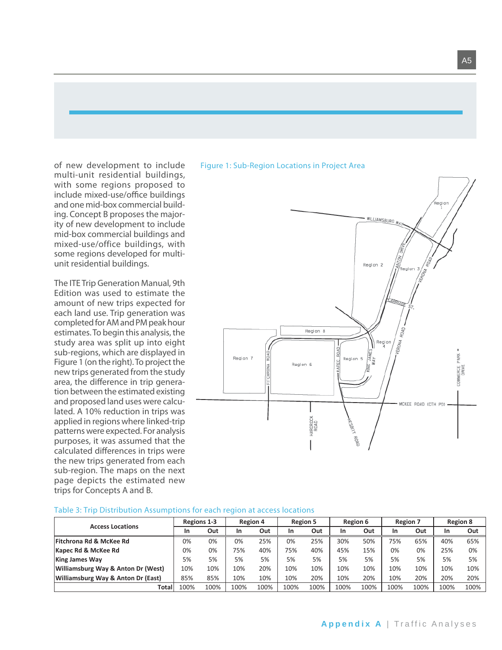of new development to include multi-unit residential buildings, with some regions proposed to include mixed-use/office buildings and one mid-box commercial building. Concept B proposes the majority of new development to include mid-box commercial buildings and mixed-use/office buildings, with some regions developed for multiunit residential buildings.

The ITE Trip Generation Manual, 9th Edition was used to estimate the amount of new trips expected for each land use. Trip generation was completed for AM and PM peak hour estimates. To begin this analysis, the study area was split up into eight sub-regions, which are displayed in Figure 1 (on the right). To project the new trips generated from the study area, the difference in trip generation between the estimated existing and proposed land uses were calculated. A 10% reduction in trips was applied in regions where linked-trip patterns were expected. For analysis purposes, it was assumed that the calculated differences in trips were the new trips generated from each sub-region. The maps on the next page depicts the estimated new trips for Concepts A and B.

#### Figure 1: Sub-Region Locations in Project Area



| <b>Access Locations</b>            | <b>Regions 1-3</b> |      | <b>Region 4</b> |      | <b>Region 5</b> |      | Region 6 |      | <b>Region 7</b> |      |      | <b>Region 8</b> |
|------------------------------------|--------------------|------|-----------------|------|-----------------|------|----------|------|-----------------|------|------|-----------------|
|                                    | In                 | Out  | In              | Out  | In              | Out  | In       | Out  | In              | Out  | In   | Out             |
| <b>Fitchrona Rd &amp; McKee Rd</b> | 0%                 | 0%   | 0%              | 25%  | 0%              | 25%  | 30%      | 50%  | 75%             | 65%  | 40%  | 65%             |
| Kapec Rd & McKee Rd                | 0%                 | 0%   | 75%             | 40%  | 75%             | 40%  | 45%      | 15%  | 0%              | 0%   | 25%  | 0%              |
| <b>King James Way</b>              | 5%                 | 5%   | 5%              | 5%   | 5%              | 5%   | 5%       | 5%   | 5%              | 5%   | 5%   | 5%              |
| Williamsburg Way & Anton Dr (West) | 10%                | 10%  | 10%             | 20%  | 10%             | 10%  | 10%      | 10%  | 10%             | 10%  | 10%  | 10%             |
| Williamsburg Way & Anton Dr (East) | 85%                | 85%  | 10%             | 10%  | 10%             | 20%  | 10%      | 20%  | 10%             | 20%  | 20%  | 20%             |
| Total                              | 100%               | 100% | 100%            | 100% | 100%            | 100% | 100%     | 100% | 100%            | 100% | 100% | 100%            |

#### Table 3: Trip Distribution Assumptions for each region at access locations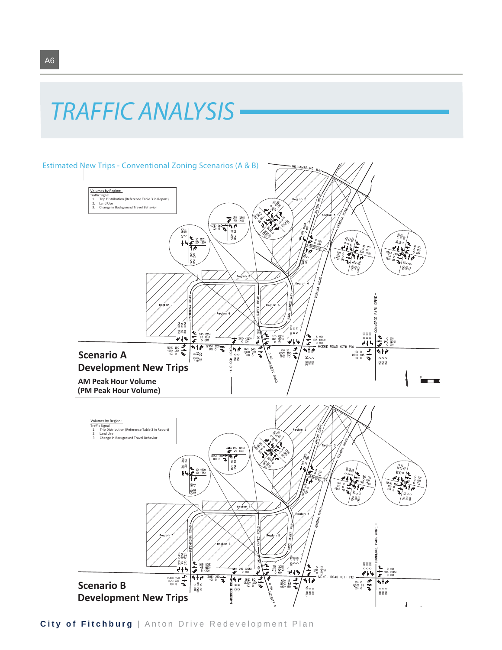## TRAFFIC ANALYSIS



**City of Fitchburg** | Anton Drive Redevelopment Plan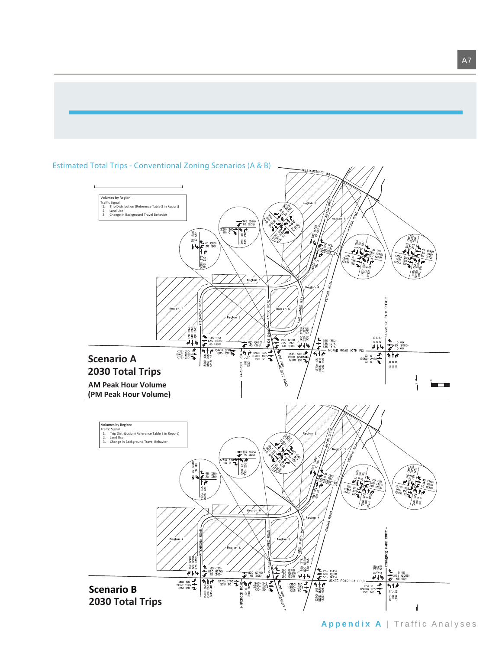

#### Estimated Total Trips - Conventional Zoning Scenarios (A & B)

**Appendix A** | Traffic Analyses